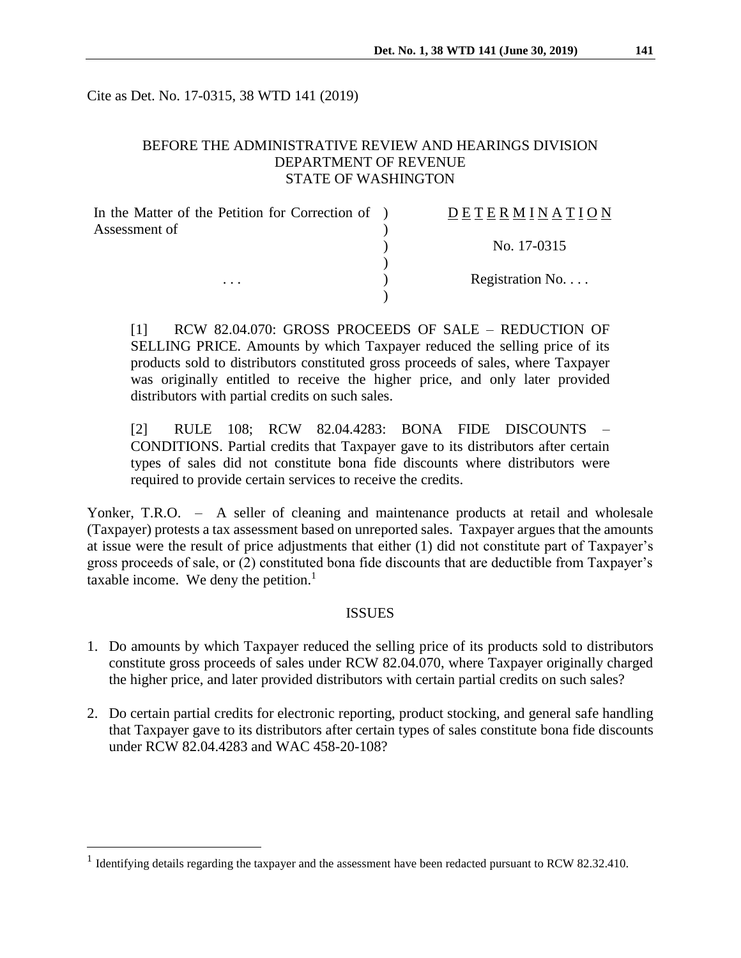Cite as Det. No. 17-0315, 38 WTD 141 (2019)

## BEFORE THE ADMINISTRATIVE REVIEW AND HEARINGS DIVISION DEPARTMENT OF REVENUE STATE OF WASHINGTON

| In the Matter of the Petition for Correction of ) | DETERMINATION   |
|---------------------------------------------------|-----------------|
| Assessment of                                     |                 |
| $\cdots$                                          | No. 17-0315     |
|                                                   | Registration No |
|                                                   |                 |

[1] RCW 82.04.070: GROSS PROCEEDS OF SALE – REDUCTION OF SELLING PRICE. Amounts by which Taxpayer reduced the selling price of its products sold to distributors constituted gross proceeds of sales, where Taxpayer was originally entitled to receive the higher price, and only later provided distributors with partial credits on such sales.

[2] RULE 108; RCW 82.04.4283: BONA FIDE DISCOUNTS – CONDITIONS. Partial credits that Taxpayer gave to its distributors after certain types of sales did not constitute bona fide discounts where distributors were required to provide certain services to receive the credits.

Yonker, T.R.O. – A seller of cleaning and maintenance products at retail and wholesale (Taxpayer) protests a tax assessment based on unreported sales. Taxpayer argues that the amounts at issue were the result of price adjustments that either (1) did not constitute part of Taxpayer's gross proceeds of sale, or (2) constituted bona fide discounts that are deductible from Taxpayer's taxable income. We deny the petition. $<sup>1</sup>$ </sup>

#### ISSUES

- 1. Do amounts by which Taxpayer reduced the selling price of its products sold to distributors constitute gross proceeds of sales under RCW 82.04.070, where Taxpayer originally charged the higher price, and later provided distributors with certain partial credits on such sales?
- 2. Do certain partial credits for electronic reporting, product stocking, and general safe handling that Taxpayer gave to its distributors after certain types of sales constitute bona fide discounts under RCW 82.04.4283 and WAC 458-20-108?

 $\overline{a}$ 

<sup>&</sup>lt;sup>1</sup> Identifying details regarding the taxpayer and the assessment have been redacted pursuant to RCW 82.32.410.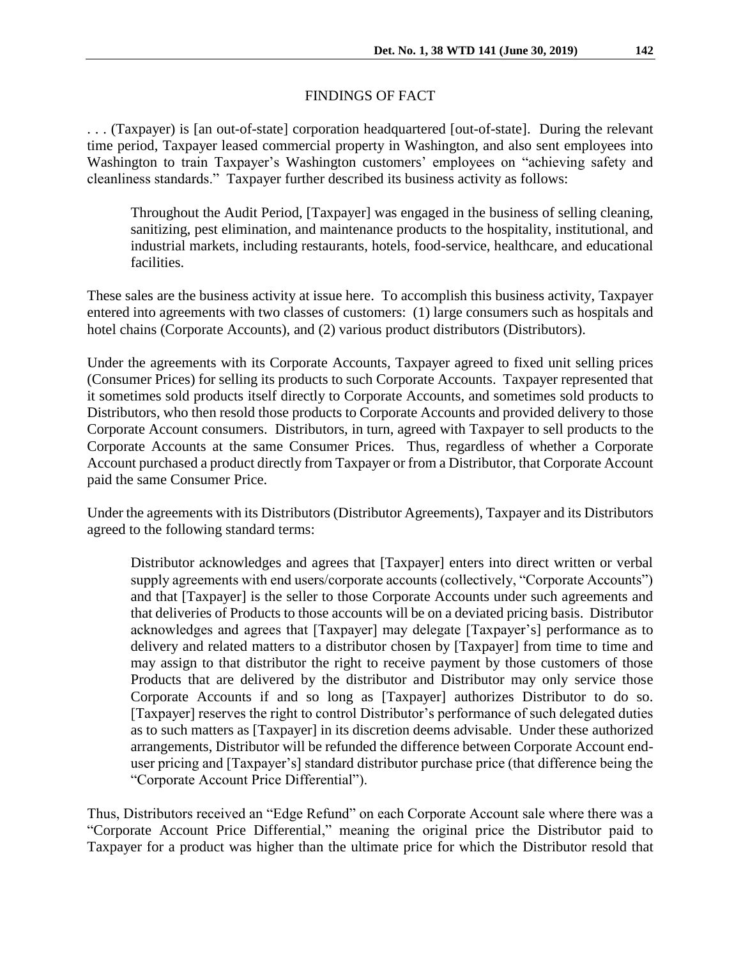### FINDINGS OF FACT

. . . (Taxpayer) is [an out-of-state] corporation headquartered [out-of-state]. During the relevant time period, Taxpayer leased commercial property in Washington, and also sent employees into Washington to train Taxpayer's Washington customers' employees on "achieving safety and cleanliness standards." Taxpayer further described its business activity as follows:

Throughout the Audit Period, [Taxpayer] was engaged in the business of selling cleaning, sanitizing, pest elimination, and maintenance products to the hospitality, institutional, and industrial markets, including restaurants, hotels, food-service, healthcare, and educational facilities.

These sales are the business activity at issue here. To accomplish this business activity, Taxpayer entered into agreements with two classes of customers: (1) large consumers such as hospitals and hotel chains (Corporate Accounts), and (2) various product distributors (Distributors).

Under the agreements with its Corporate Accounts, Taxpayer agreed to fixed unit selling prices (Consumer Prices) for selling its products to such Corporate Accounts. Taxpayer represented that it sometimes sold products itself directly to Corporate Accounts, and sometimes sold products to Distributors, who then resold those products to Corporate Accounts and provided delivery to those Corporate Account consumers. Distributors, in turn, agreed with Taxpayer to sell products to the Corporate Accounts at the same Consumer Prices. Thus, regardless of whether a Corporate Account purchased a product directly from Taxpayer or from a Distributor, that Corporate Account paid the same Consumer Price.

Under the agreements with its Distributors (Distributor Agreements), Taxpayer and its Distributors agreed to the following standard terms:

Distributor acknowledges and agrees that [Taxpayer] enters into direct written or verbal supply agreements with end users/corporate accounts (collectively, "Corporate Accounts") and that [Taxpayer] is the seller to those Corporate Accounts under such agreements and that deliveries of Products to those accounts will be on a deviated pricing basis. Distributor acknowledges and agrees that [Taxpayer] may delegate [Taxpayer's] performance as to delivery and related matters to a distributor chosen by [Taxpayer] from time to time and may assign to that distributor the right to receive payment by those customers of those Products that are delivered by the distributor and Distributor may only service those Corporate Accounts if and so long as [Taxpayer] authorizes Distributor to do so. [Taxpayer] reserves the right to control Distributor's performance of such delegated duties as to such matters as [Taxpayer] in its discretion deems advisable. Under these authorized arrangements, Distributor will be refunded the difference between Corporate Account enduser pricing and [Taxpayer's] standard distributor purchase price (that difference being the "Corporate Account Price Differential").

Thus, Distributors received an "Edge Refund" on each Corporate Account sale where there was a "Corporate Account Price Differential," meaning the original price the Distributor paid to Taxpayer for a product was higher than the ultimate price for which the Distributor resold that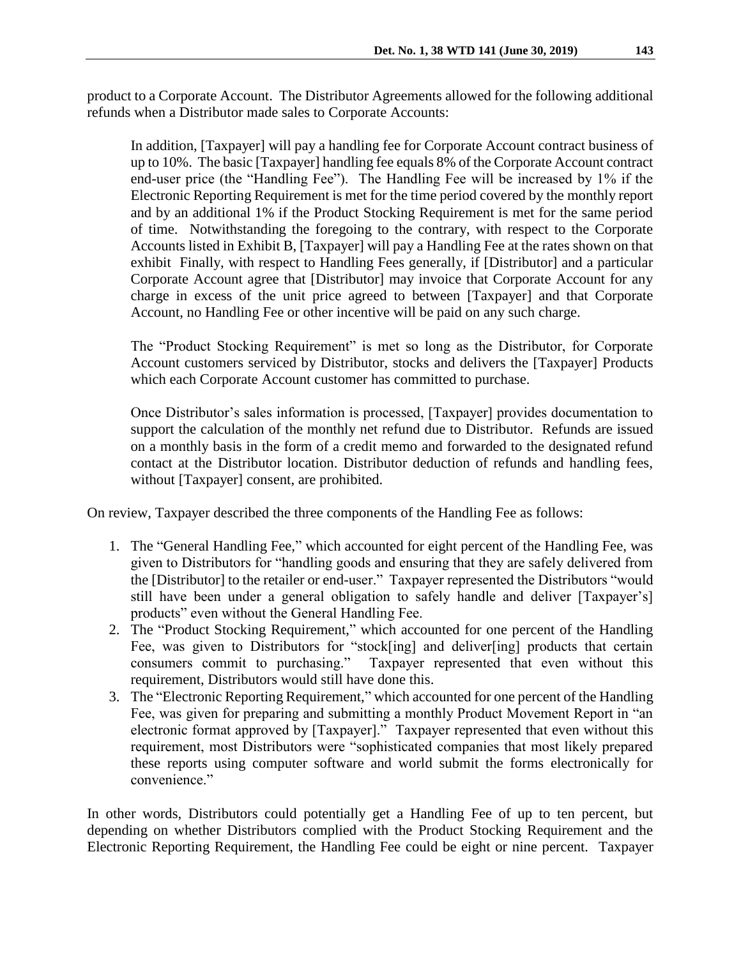product to a Corporate Account. The Distributor Agreements allowed for the following additional refunds when a Distributor made sales to Corporate Accounts:

In addition, [Taxpayer] will pay a handling fee for Corporate Account contract business of up to 10%. The basic [Taxpayer] handling fee equals 8% of the Corporate Account contract end-user price (the "Handling Fee"). The Handling Fee will be increased by 1% if the Electronic Reporting Requirement is met for the time period covered by the monthly report and by an additional 1% if the Product Stocking Requirement is met for the same period of time. Notwithstanding the foregoing to the contrary, with respect to the Corporate Accounts listed in Exhibit B, [Taxpayer] will pay a Handling Fee at the rates shown on that exhibit Finally, with respect to Handling Fees generally, if [Distributor] and a particular Corporate Account agree that [Distributor] may invoice that Corporate Account for any charge in excess of the unit price agreed to between [Taxpayer] and that Corporate Account, no Handling Fee or other incentive will be paid on any such charge.

The "Product Stocking Requirement" is met so long as the Distributor, for Corporate Account customers serviced by Distributor, stocks and delivers the [Taxpayer] Products which each Corporate Account customer has committed to purchase.

Once Distributor's sales information is processed, [Taxpayer] provides documentation to support the calculation of the monthly net refund due to Distributor. Refunds are issued on a monthly basis in the form of a credit memo and forwarded to the designated refund contact at the Distributor location. Distributor deduction of refunds and handling fees, without [Taxpayer] consent, are prohibited.

On review, Taxpayer described the three components of the Handling Fee as follows:

- 1. The "General Handling Fee," which accounted for eight percent of the Handling Fee, was given to Distributors for "handling goods and ensuring that they are safely delivered from the [Distributor] to the retailer or end-user." Taxpayer represented the Distributors "would still have been under a general obligation to safely handle and deliver [Taxpayer's] products" even without the General Handling Fee.
- 2. The "Product Stocking Requirement," which accounted for one percent of the Handling Fee, was given to Distributors for "stock[ing] and deliver[ing] products that certain consumers commit to purchasing." Taxpayer represented that even without this requirement, Distributors would still have done this.
- 3. The "Electronic Reporting Requirement," which accounted for one percent of the Handling Fee, was given for preparing and submitting a monthly Product Movement Report in "an electronic format approved by [Taxpayer]." Taxpayer represented that even without this requirement, most Distributors were "sophisticated companies that most likely prepared these reports using computer software and world submit the forms electronically for convenience."

In other words, Distributors could potentially get a Handling Fee of up to ten percent, but depending on whether Distributors complied with the Product Stocking Requirement and the Electronic Reporting Requirement, the Handling Fee could be eight or nine percent. Taxpayer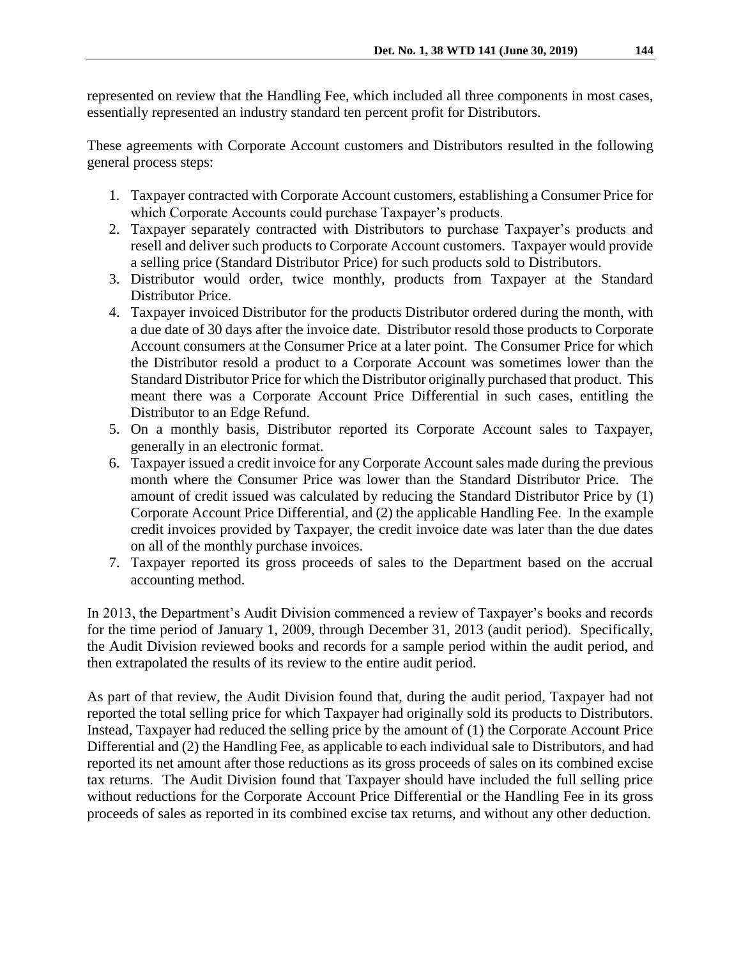represented on review that the Handling Fee, which included all three components in most cases, essentially represented an industry standard ten percent profit for Distributors.

These agreements with Corporate Account customers and Distributors resulted in the following general process steps:

- 1. Taxpayer contracted with Corporate Account customers, establishing a Consumer Price for which Corporate Accounts could purchase Taxpayer's products.
- 2. Taxpayer separately contracted with Distributors to purchase Taxpayer's products and resell and deliver such products to Corporate Account customers. Taxpayer would provide a selling price (Standard Distributor Price) for such products sold to Distributors.
- 3. Distributor would order, twice monthly, products from Taxpayer at the Standard Distributor Price.
- 4. Taxpayer invoiced Distributor for the products Distributor ordered during the month, with a due date of 30 days after the invoice date. Distributor resold those products to Corporate Account consumers at the Consumer Price at a later point. The Consumer Price for which the Distributor resold a product to a Corporate Account was sometimes lower than the Standard Distributor Price for which the Distributor originally purchased that product. This meant there was a Corporate Account Price Differential in such cases, entitling the Distributor to an Edge Refund.
- 5. On a monthly basis, Distributor reported its Corporate Account sales to Taxpayer, generally in an electronic format.
- 6. Taxpayer issued a credit invoice for any Corporate Account sales made during the previous month where the Consumer Price was lower than the Standard Distributor Price. The amount of credit issued was calculated by reducing the Standard Distributor Price by (1) Corporate Account Price Differential, and (2) the applicable Handling Fee. In the example credit invoices provided by Taxpayer, the credit invoice date was later than the due dates on all of the monthly purchase invoices.
- 7. Taxpayer reported its gross proceeds of sales to the Department based on the accrual accounting method.

In 2013, the Department's Audit Division commenced a review of Taxpayer's books and records for the time period of January 1, 2009, through December 31, 2013 (audit period). Specifically, the Audit Division reviewed books and records for a sample period within the audit period, and then extrapolated the results of its review to the entire audit period.

As part of that review, the Audit Division found that, during the audit period, Taxpayer had not reported the total selling price for which Taxpayer had originally sold its products to Distributors. Instead, Taxpayer had reduced the selling price by the amount of (1) the Corporate Account Price Differential and (2) the Handling Fee, as applicable to each individual sale to Distributors, and had reported its net amount after those reductions as its gross proceeds of sales on its combined excise tax returns. The Audit Division found that Taxpayer should have included the full selling price without reductions for the Corporate Account Price Differential or the Handling Fee in its gross proceeds of sales as reported in its combined excise tax returns, and without any other deduction.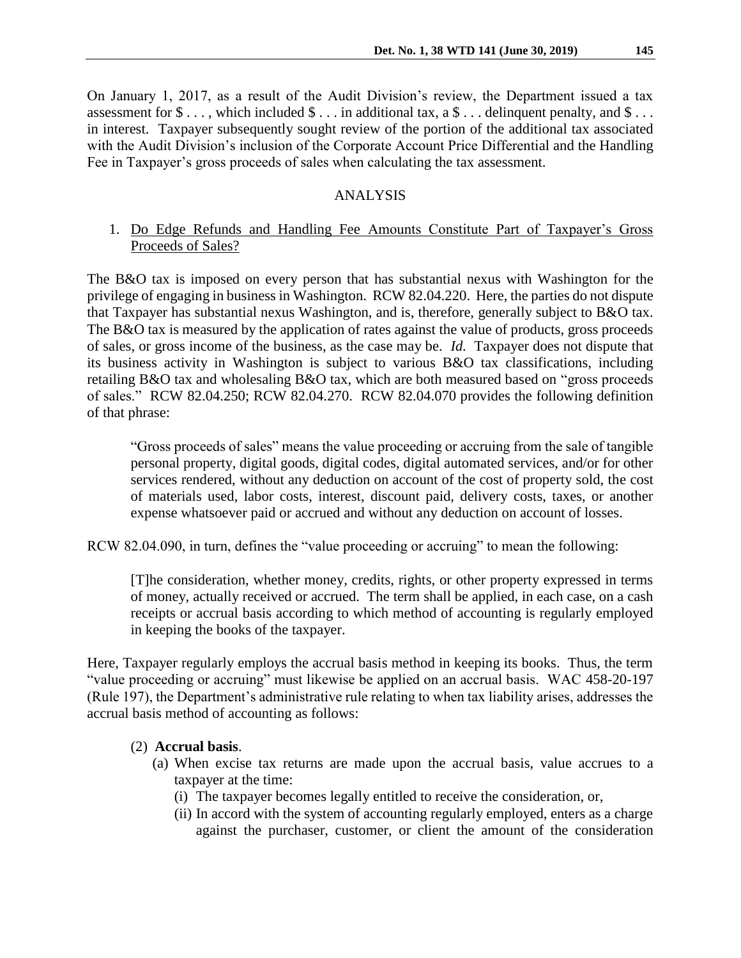On January 1, 2017, as a result of the Audit Division's review, the Department issued a tax assessment for  $\$\ldots$ , which included  $\$\ldots$  in additional tax, a  $\$\ldots$  delinguent penalty, and  $\$\ldots$ in interest. Taxpayer subsequently sought review of the portion of the additional tax associated with the Audit Division's inclusion of the Corporate Account Price Differential and the Handling Fee in Taxpayer's gross proceeds of sales when calculating the tax assessment.

### ANALYSIS

# 1. Do Edge Refunds and Handling Fee Amounts Constitute Part of Taxpayer's Gross Proceeds of Sales?

The B&O tax is imposed on every person that has substantial nexus with Washington for the privilege of engaging in business in Washington. RCW 82.04.220. Here, the parties do not dispute that Taxpayer has substantial nexus Washington, and is, therefore, generally subject to B&O tax. The B&O tax is measured by the application of rates against the value of products, gross proceeds of sales, or gross income of the business, as the case may be. *Id.* Taxpayer does not dispute that its business activity in Washington is subject to various B&O tax classifications, including retailing B&O tax and wholesaling B&O tax, which are both measured based on "gross proceeds of sales." RCW 82.04.250; RCW 82.04.270. RCW 82.04.070 provides the following definition of that phrase:

"Gross proceeds of sales" means the value proceeding or accruing from the sale of tangible personal property, digital goods, digital codes, digital automated services, and/or for other services rendered, without any deduction on account of the cost of property sold, the cost of materials used, labor costs, interest, discount paid, delivery costs, taxes, or another expense whatsoever paid or accrued and without any deduction on account of losses.

RCW 82.04.090, in turn, defines the "value proceeding or accruing" to mean the following:

[T]he consideration, whether money, credits, rights, or other property expressed in terms of money, actually received or accrued. The term shall be applied, in each case, on a cash receipts or accrual basis according to which method of accounting is regularly employed in keeping the books of the taxpayer.

Here, Taxpayer regularly employs the accrual basis method in keeping its books. Thus, the term "value proceeding or accruing" must likewise be applied on an accrual basis. WAC 458-20-197 (Rule 197), the Department's administrative rule relating to when tax liability arises, addresses the accrual basis method of accounting as follows:

### (2) **Accrual basis**.

- (a) When excise tax returns are made upon the accrual basis, value accrues to a taxpayer at the time:
	- (i) The taxpayer becomes legally entitled to receive the consideration, or,
	- (ii) In accord with the system of accounting regularly employed, enters as a charge against the purchaser, customer, or client the amount of the consideration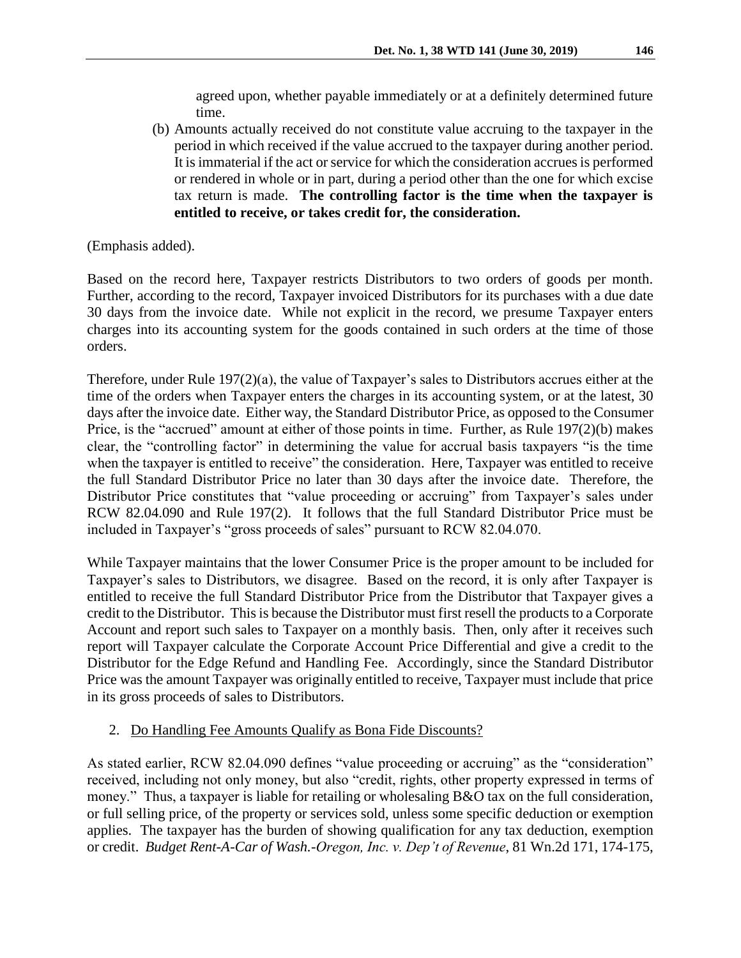agreed upon, whether payable immediately or at a definitely determined future time.

(b) Amounts actually received do not constitute value accruing to the taxpayer in the period in which received if the value accrued to the taxpayer during another period. It is immaterial if the act or service for which the consideration accrues is performed or rendered in whole or in part, during a period other than the one for which excise tax return is made. **The controlling factor is the time when the taxpayer is entitled to receive, or takes credit for, the consideration.**

(Emphasis added).

Based on the record here, Taxpayer restricts Distributors to two orders of goods per month. Further, according to the record, Taxpayer invoiced Distributors for its purchases with a due date 30 days from the invoice date. While not explicit in the record, we presume Taxpayer enters charges into its accounting system for the goods contained in such orders at the time of those orders.

Therefore, under Rule 197(2)(a), the value of Taxpayer's sales to Distributors accrues either at the time of the orders when Taxpayer enters the charges in its accounting system, or at the latest, 30 days after the invoice date. Either way, the Standard Distributor Price, as opposed to the Consumer Price, is the "accrued" amount at either of those points in time. Further, as Rule 197(2)(b) makes clear, the "controlling factor" in determining the value for accrual basis taxpayers "is the time when the taxpayer is entitled to receive" the consideration. Here, Taxpayer was entitled to receive the full Standard Distributor Price no later than 30 days after the invoice date. Therefore, the Distributor Price constitutes that "value proceeding or accruing" from Taxpayer's sales under RCW 82.04.090 and Rule 197(2). It follows that the full Standard Distributor Price must be included in Taxpayer's "gross proceeds of sales" pursuant to RCW 82.04.070.

While Taxpayer maintains that the lower Consumer Price is the proper amount to be included for Taxpayer's sales to Distributors, we disagree. Based on the record, it is only after Taxpayer is entitled to receive the full Standard Distributor Price from the Distributor that Taxpayer gives a credit to the Distributor. This is because the Distributor must first resell the products to a Corporate Account and report such sales to Taxpayer on a monthly basis. Then, only after it receives such report will Taxpayer calculate the Corporate Account Price Differential and give a credit to the Distributor for the Edge Refund and Handling Fee. Accordingly, since the Standard Distributor Price was the amount Taxpayer was originally entitled to receive, Taxpayer must include that price in its gross proceeds of sales to Distributors.

# 2. Do Handling Fee Amounts Qualify as Bona Fide Discounts?

As stated earlier, RCW 82.04.090 defines "value proceeding or accruing" as the "consideration" received, including not only money, but also "credit, rights, other property expressed in terms of money." Thus, a taxpayer is liable for retailing or wholesaling B&O tax on the full consideration, or full selling price, of the property or services sold, unless some specific deduction or exemption applies. The taxpayer has the burden of showing qualification for any tax deduction, exemption or credit. *Budget Rent-A-Car of Wash.-Oregon, Inc. v. Dep't of Revenue*, 81 Wn.2d 171, 174-175,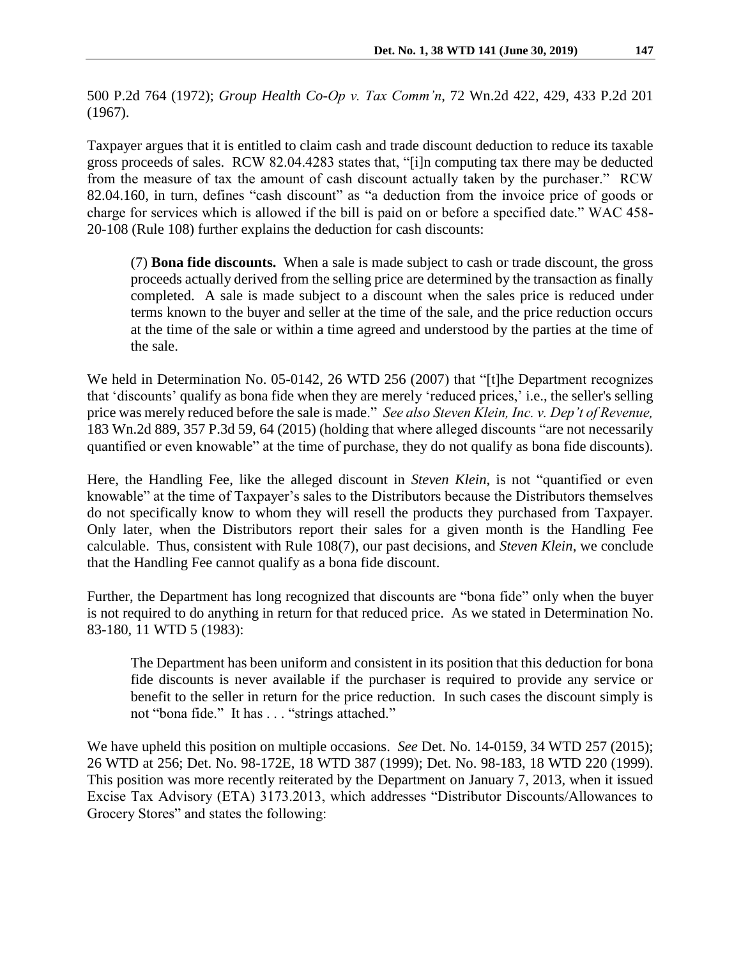500 P.2d 764 (1972); *Group Health Co-Op v. Tax Comm'n*, 72 Wn.2d 422, 429, 433 P.2d 201 (1967).

Taxpayer argues that it is entitled to claim cash and trade discount deduction to reduce its taxable gross proceeds of sales. RCW 82.04.4283 states that, "[i]n computing tax there may be deducted from the measure of tax the amount of cash discount actually taken by the purchaser." RCW 82.04.160, in turn, defines "cash discount" as "a deduction from the invoice price of goods or charge for services which is allowed if the bill is paid on or before a specified date." WAC 458- 20-108 (Rule 108) further explains the deduction for cash discounts:

(7) **Bona fide discounts.** When a sale is made subject to cash or trade discount, the gross proceeds actually derived from the selling price are determined by the transaction as finally completed. A sale is made subject to a discount when the sales price is reduced under terms known to the buyer and seller at the time of the sale, and the price reduction occurs at the time of the sale or within a time agreed and understood by the parties at the time of the sale.

We held in Determination No. 05-0142, 26 WTD 256 (2007) that "[t]he Department recognizes that 'discounts' qualify as bona fide when they are merely 'reduced prices,' i.e., the seller's selling price was merely reduced before the sale is made." *See also Steven Klein, Inc. v. Dep't of Revenue,*  183 Wn.2d 889, 357 P.3d 59, 64 (2015) (holding that where alleged discounts "are not necessarily quantified or even knowable" at the time of purchase, they do not qualify as bona fide discounts).

Here, the Handling Fee, like the alleged discount in *Steven Klein*, is not "quantified or even knowable" at the time of Taxpayer's sales to the Distributors because the Distributors themselves do not specifically know to whom they will resell the products they purchased from Taxpayer. Only later, when the Distributors report their sales for a given month is the Handling Fee calculable. Thus, consistent with Rule 108(7), our past decisions, and *Steven Klein*, we conclude that the Handling Fee cannot qualify as a bona fide discount.

Further, the Department has long recognized that discounts are "bona fide" only when the buyer is not required to do anything in return for that reduced price. As we stated in Determination No. 83-180, 11 WTD 5 (1983):

The Department has been uniform and consistent in its position that this deduction for bona fide discounts is never available if the purchaser is required to provide any service or benefit to the seller in return for the price reduction. In such cases the discount simply is not "bona fide." It has . . . "strings attached."

We have upheld this position on multiple occasions. *See* Det. No. 14-0159, 34 WTD 257 (2015); 26 WTD at 256; Det. No. 98-172E, 18 WTD 387 (1999); Det. No. 98-183, 18 WTD 220 (1999). This position was more recently reiterated by the Department on January 7, 2013, when it issued Excise Tax Advisory (ETA) 3173.2013, which addresses "Distributor Discounts/Allowances to Grocery Stores" and states the following: